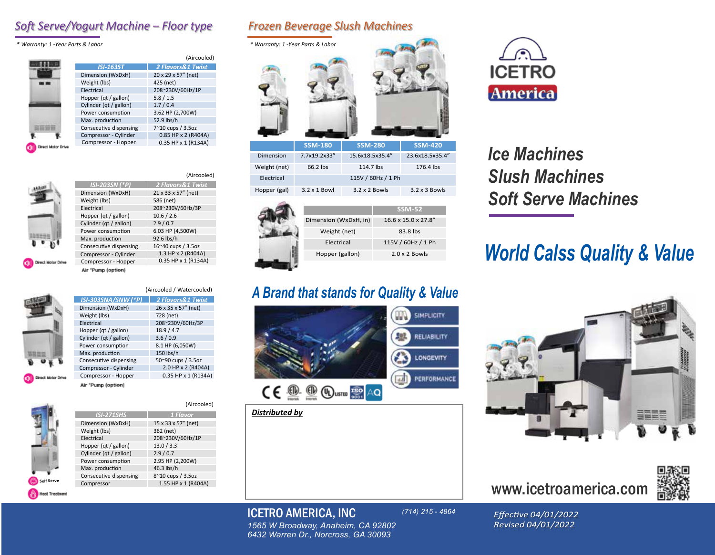### *Soft Serve/Yogurt Machine – Floor type Frozen Beverage Slush Machines*

*\* Warranty: 1 - Year Parts & Labor \* Warranty: 1 - Year Parts & Labor*

|                    |                        | (Aircooled)                  |
|--------------------|------------------------|------------------------------|
|                    | <b>ISI-163ST</b>       | <b>2 Flavors&amp;1 Twist</b> |
|                    | Dimension (WxDxH)      | 20 x 29 x 57" (net)          |
|                    | Weight (lbs)           | 425 (net)                    |
|                    | Electrical             | 208~230V/60Hz/1P             |
|                    | Hopper (qt / gallon)   | 5.8/1.5                      |
|                    | Cylinder (qt / gallon) | 1.7/0.4                      |
|                    | Power consumption      | 3.62 HP (2,700W)             |
|                    | Max. production        | 52.9 lbs/h                   |
|                    | Consecutive dispensing | 7~10 cups / 3.5oz            |
|                    | Compressor - Cylinder  | 0.85 HP x 2 (R404A)          |
|                    | Compressor - Hopper    | 0.35 HP x 1 (R134A)          |
| Direct Motor Drive |                        |                              |

|                        | (Aircooled)         |
|------------------------|---------------------|
| <b>ISI-203SN (*P)</b>  | 2 Flavors&1 Twist   |
| Dimension (WxDxH)      | 21 x 33 x 57" (net) |
| Weight (lbs)           | 586 (net)           |
| Electrical             | 208~230V/60Hz/3P    |
| Hopper (qt / gallon)   | 10.6 / 2.6          |
| Cylinder (qt / gallon) | 2.9/0.7             |
| Power consumption      | 6.03 HP (4,500W)    |
| Max. production        | 92.6 lbs/h          |
| Consecutive dispensing | 16~40 cups / 3.5oz  |
| Compressor - Cylinder  | 1.3 HP x 2 (R404A)  |
| Compressor - Hopper    | 0.35 HP x 1 (R134A) |
| Air "Pump (option)     |                     |

(Aircooled / Watercooled)



| ISI-303SNA/SNW (*P)    | <b>2 Flavors&amp;1 Twist</b> |
|------------------------|------------------------------|
| Dimension (WxDxH)      | 26 x 35 x 57" (net)          |
| Weight (lbs)           | 728 (net)                    |
| Electrical             | 208~230V/60Hz/3P             |
| Hopper (qt / gallon)   | 18.9 / 4.7                   |
| Cylinder (qt / gallon) | 3.6/0.9                      |
| Power consumption      | 8.1 HP (6,050W)              |
| Max. production        | 150 lbs/h                    |
| Consecutive dispensing | 50~90 cups / 3.5oz           |
| Compressor - Cylinder  | 2.0 HP x 2 (R404A)           |
| Compressor - Hopper    | 0.35 HP x 1 (R134A)          |

Air 'Pump (option)



|                        | (Aircooled)         |
|------------------------|---------------------|
| <b>ISI-271SHS</b>      | 1 Flavor            |
| Dimension (WxDxH)      | 15 x 33 x 57" (net) |
| Weight (lbs)           | 362 (net)           |
| Electrical             | 208~230V/60Hz/1P    |
| Hopper (qt / gallon)   | 13.0 / 3.3          |
| Cylinder (qt / gallon) | 2.9/0.7             |
| Power consumption      | 2.95 HP (2,200W)    |
| Max. production        | 46.3 lbs/h          |
| Consecutive dispensing | 8~10 cups / 3.5oz   |
| Compressor             | 1.55 HP x 1 (R404A) |



| Dimension    | 7.7x19.2x33"        | 15.6x18.5x35.4"      | 23.6x18.5x35.4"      |
|--------------|---------------------|----------------------|----------------------|
| Weight (net) | 66.2 lbs            | 114.7 lbs            | 176.4 lbs            |
| Electrical   | 115V / 60Hz / 1 Ph  |                      |                      |
| Hopper (gal) | $3.2 \times 1$ Bowl | $3.2 \times 2$ Bowls | $3.2 \times 3$ Bowls |

|                       | <b>SSM-52</b>                    |
|-----------------------|----------------------------------|
| Dimension (WxDxH, in) | $16.6 \times 15.0 \times 27.8$ " |
| Weight (net)          | 83.8 lbs                         |
| Electrical            | 115V / 60Hz / 1 Ph               |
| Hopper (gallon)       | $2.0 \times 2$ Bowls             |
|                       |                                  |

# *A Brand that stands for Quality & Value*



#### *Distributed by*



# *Ice Machines Slush Machines Soft Serve Machines*

# *World Calss Quality & Value*



# www.icetroamerica.com



#### ICETRO AMERICA, INC

*(714) 215 - 4864*

*Effective 04/01/2022 Revised 04/01/2022*

*1565 W Broadway, Anaheim, CA 92802 6432 Warren Dr., Norcross, GA 30093*